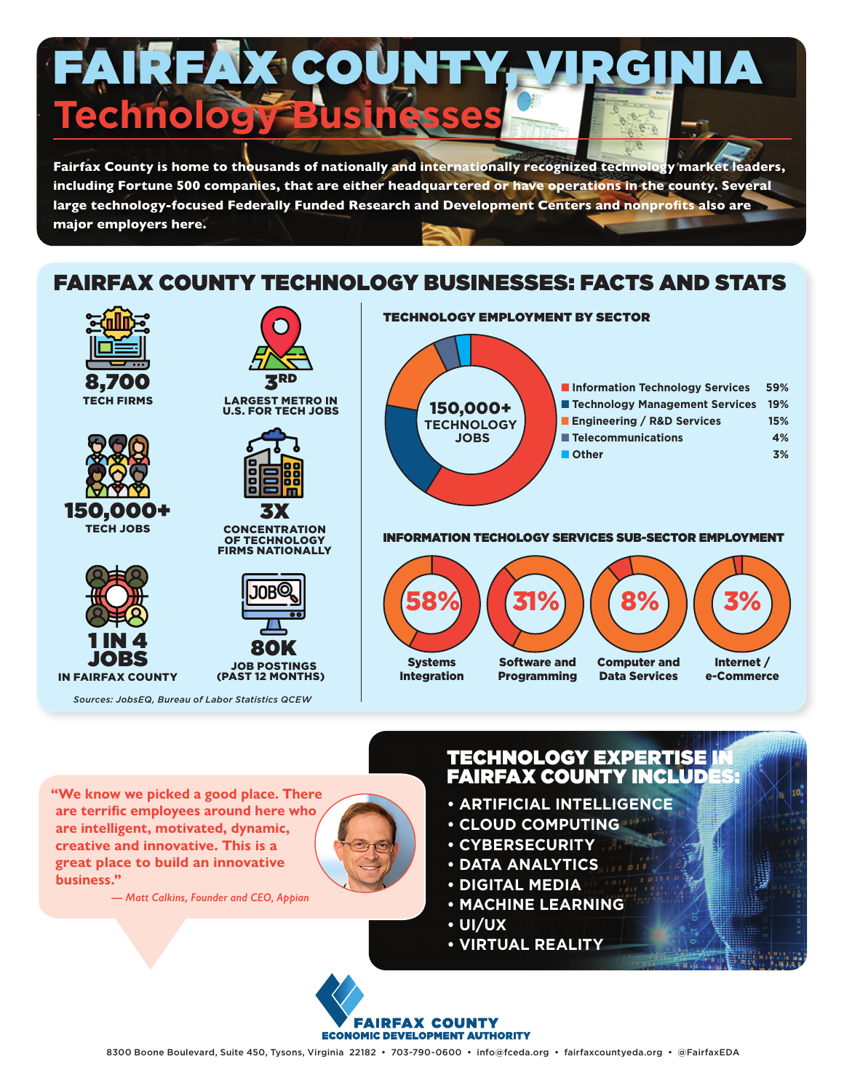

**major employers here.** 

# FAIRFAX COUNTY TECHNOLOGY BUSINESSES: FACTS AND STATS



**"We know we picked a good place. There are terrific employees around here who are intelligent, motivated, dynamic, creative and innovative. This is a great place to build an innovative business."** 



*— Matt Calkins, Founder and CEO, Appian*

# TECHNOLOGY EXPERTISE IN FAIRFAX COUNTY INCLUDES:

- **ARTIFICIAL INTELLIGENCE**
- **CLOUD COMPUTING**
- **CYBERSECURITY**
- **DATA ANALYTICS**
- **DIGITAL MEDIA**
- **MACHINE LEARNING**
- **UI/UX**
- **VIRTUAL REALITY**